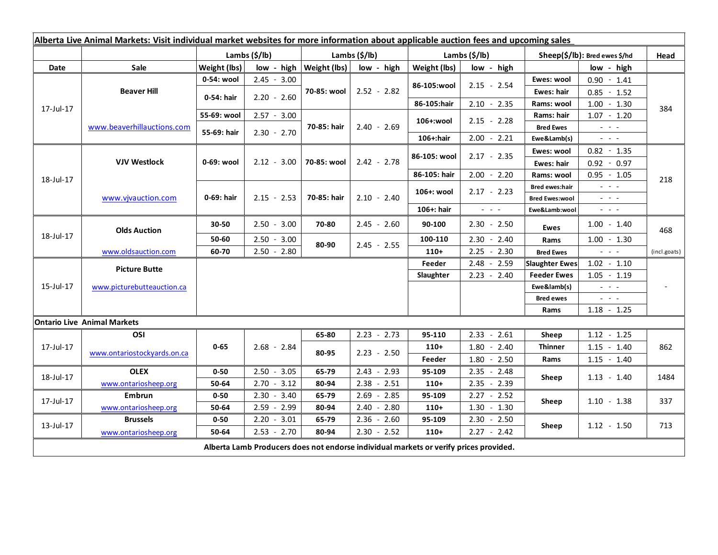| Alberta Live Animal Markets: Visit individual market websites for more information about applicable auction fees and upcoming sales |                                    |                           |               |               |               |                           |                                                                 |                                                            |                                                                                                                           |              |
|-------------------------------------------------------------------------------------------------------------------------------------|------------------------------------|---------------------------|---------------|---------------|---------------|---------------------------|-----------------------------------------------------------------|------------------------------------------------------------|---------------------------------------------------------------------------------------------------------------------------|--------------|
|                                                                                                                                     |                                    | Lambs $(\frac{2}{3})$ lb) |               | Lambs (\$/lb) |               | Lambs $(\frac{2}{3})$ lb) |                                                                 | Sheep(\$/lb): Bred ewes \$/hd                              |                                                                                                                           | Head         |
| Date                                                                                                                                | Sale                               | Weight (lbs)              | low - high    | Weight (lbs)  | low - high    | Weight (lbs)              | low - high                                                      |                                                            | low - high                                                                                                                |              |
| 17-Jul-17                                                                                                                           | <b>Beaver Hill</b>                 | 0-54: wool                | $2.45 - 3.00$ | 70-85: wool   | $2.52 - 2.82$ | 86-105:wool               | $2.15 - 2.54$                                                   | Ewes: wool                                                 | $0.90 - 1.41$                                                                                                             | 384          |
|                                                                                                                                     |                                    | 0-54: hair                | $2.20 - 2.60$ |               |               |                           |                                                                 | Ewes: hair                                                 | $0.85 - 1.52$                                                                                                             |              |
|                                                                                                                                     |                                    |                           |               |               |               | 86-105:hair               | $2.10 - 2.35$                                                   | Rams: wool                                                 | $1.00 - 1.30$                                                                                                             |              |
|                                                                                                                                     | www.beaverhillauctions.com         | 55-69: wool               | $2.57 - 3.00$ | 70-85: hair   | $2.40 - 2.69$ | 106+:wool                 | $2.15 - 2.28$                                                   | Rams: hair                                                 | $1.07 - 1.20$                                                                                                             |              |
|                                                                                                                                     |                                    | 55-69: hair               | $2.30 - 2.70$ |               |               |                           |                                                                 | <b>Bred Ewes</b>                                           | $\omega_{\rm{eff}}$ , $\omega_{\rm{eff}}$                                                                                 |              |
|                                                                                                                                     |                                    |                           |               |               |               | 106+:hair                 | $2.00 - 2.21$                                                   | Ewe&Lamb(s)                                                | $  -$                                                                                                                     |              |
| 18-Jul-17                                                                                                                           | <b>VJV Westlock</b>                | 0-69: wool                | $2.12 - 3.00$ | 70-85: wool   | $2.42 - 2.78$ | 86-105: wool              | $2.17 - 2.35$                                                   | Ewes: wool                                                 | $0.82 - 1.35$                                                                                                             | 218          |
|                                                                                                                                     |                                    |                           |               |               |               |                           |                                                                 | Ewes: hair                                                 | $0.92 - 0.97$                                                                                                             |              |
|                                                                                                                                     |                                    |                           |               |               |               | 86-105: hair              | $2.00 - 2.20$                                                   | Rams: wool                                                 | $0.95 - 1.05$                                                                                                             |              |
|                                                                                                                                     | www.vjvauction.com                 | 0-69: hair                | $2.15 - 2.53$ | 70-85: hair   | $2.10 - 2.40$ | 106+: wool                | $2.17 - 2.23$                                                   | <b>Bred ewes:hair</b>                                      | $\frac{1}{2} \left( \frac{1}{2} \right) \left( \frac{1}{2} \right) \left( \frac{1}{2} \right) \left( \frac{1}{2} \right)$ |              |
|                                                                                                                                     |                                    |                           |               |               |               |                           |                                                                 | $\mathbb{Z}^2$ and $\mathbb{Z}^2$<br><b>Bred Ewes:wool</b> |                                                                                                                           |              |
|                                                                                                                                     |                                    |                           |               |               |               | 106+: hair                | $\omega_{\rm{eff}}$ , $\omega_{\rm{eff}}$ , $\omega_{\rm{eff}}$ | Ewe&Lamb:wool                                              | $\frac{1}{2} \left( \frac{1}{2} \right) \left( \frac{1}{2} \right) \left( \frac{1}{2} \right) \left( \frac{1}{2} \right)$ |              |
| 18-Jul-17                                                                                                                           | <b>Olds Auction</b>                | 30-50                     | $2.50 - 3.00$ | 70-80         | $2.45 - 2.60$ | 90-100                    | $2.30 - 2.50$                                                   | <b>Ewes</b>                                                | $1.00 - 1.40$                                                                                                             | 468          |
|                                                                                                                                     |                                    | 50-60                     | $2.50 - 3.00$ | 80-90         | $2.45 - 2.55$ | 100-110                   | $2.30 - 2.40$                                                   | Rams                                                       | $1.00 - 1.30$                                                                                                             |              |
|                                                                                                                                     | www.oldsauction.com                | 60-70                     | $2.50 - 2.80$ |               |               | $110+$                    | 2.25<br>$-2.30$                                                 | <b>Bred Ewes</b>                                           | $\omega_{\rm{eff}}$ and $\omega_{\rm{eff}}$                                                                               | (incl.goats) |
| 15-Jul-17                                                                                                                           | <b>Picture Butte</b>               |                           |               |               |               | Feeder                    | $2.48 - 2.59$                                                   | <b>Slaughter Ewes</b>                                      | $1.02 - 1.10$                                                                                                             |              |
|                                                                                                                                     |                                    |                           |               |               |               | Slaughter                 | $2.23 - 2.40$                                                   | <b>Feeder Ewes</b>                                         | $1.05 - 1.19$                                                                                                             |              |
|                                                                                                                                     | www.picturebutteauction.ca         |                           |               |               |               |                           |                                                                 | Ewe&lamb(s)                                                | $\omega_{\rm{eff}}$ and $\omega_{\rm{eff}}$                                                                               |              |
|                                                                                                                                     |                                    |                           |               |               |               |                           |                                                                 | <b>Bred ewes</b>                                           | $\omega_{\rm{eff}}=0.1$                                                                                                   |              |
|                                                                                                                                     |                                    |                           |               |               |               |                           |                                                                 | Rams                                                       | $1.18 - 1.25$                                                                                                             |              |
|                                                                                                                                     | <b>Ontario Live Animal Markets</b> |                           |               |               |               |                           |                                                                 |                                                            |                                                                                                                           |              |
| 17-Jul-17                                                                                                                           | OSI                                | $0 - 65$                  | $2.68 - 2.84$ | 65-80         | $2.23 - 2.73$ | 95-110                    | $2.33 - 2.61$                                                   | Sheep                                                      | $1.12 - 1.25$                                                                                                             |              |
|                                                                                                                                     | www.ontariostockyards.on.ca        |                           |               | 80-95         | $2.23 - 2.50$ | $110+$                    | $1.80 - 2.40$                                                   | <b>Thinner</b><br>Rams                                     | $1.15 - 1.40$                                                                                                             | 862          |
|                                                                                                                                     |                                    |                           |               |               |               | Feeder                    | $1.80 - 2.50$                                                   |                                                            | $1.15 - 1.40$                                                                                                             |              |
| 18-Jul-17                                                                                                                           | <b>OLEX</b>                        | $0 - 50$                  | $2.50 - 3.05$ | 65-79         | $2.43 - 2.93$ | 95-109                    | $2.35 - 2.48$                                                   | Sheep                                                      | $1.13 - 1.40$                                                                                                             | 1484         |
|                                                                                                                                     | www.ontariosheep.org               | 50-64                     | $2.70 - 3.12$ | 80-94         | $2.38 - 2.51$ | $110+$                    | $2.35 - 2.39$                                                   |                                                            |                                                                                                                           |              |
| 17-Jul-17                                                                                                                           | <b>Embrun</b>                      | $0 - 50$                  | $2.30 - 3.40$ | 65-79         | $2.69 - 2.85$ | 95-109                    | $2.27 - 2.52$                                                   | Sheep                                                      | $1.10 - 1.38$                                                                                                             | 337          |
|                                                                                                                                     | www.ontariosheep.org               | 50-64                     | $2.59 - 2.99$ | 80-94         | $2.40 - 2.80$ | $110+$                    | $1.30 - 1.30$                                                   |                                                            |                                                                                                                           |              |
| 13-Jul-17                                                                                                                           | <b>Brussels</b>                    | $0 - 50$                  | $2.20 - 3.01$ | 65-79         | $2.36 - 2.60$ | 95-109                    | $2.30 - 2.50$                                                   | Sheep                                                      | $1.12 - 1.50$                                                                                                             | 713          |
|                                                                                                                                     | www.ontariosheep.org               | 50-64                     | $2.53 - 2.70$ | 80-94         | $2.30 - 2.52$ | $110+$                    | $2.27 - 2.42$                                                   |                                                            |                                                                                                                           |              |
| Alberta Lamb Producers does not endorse individual markets or verify prices provided.                                               |                                    |                           |               |               |               |                           |                                                                 |                                                            |                                                                                                                           |              |